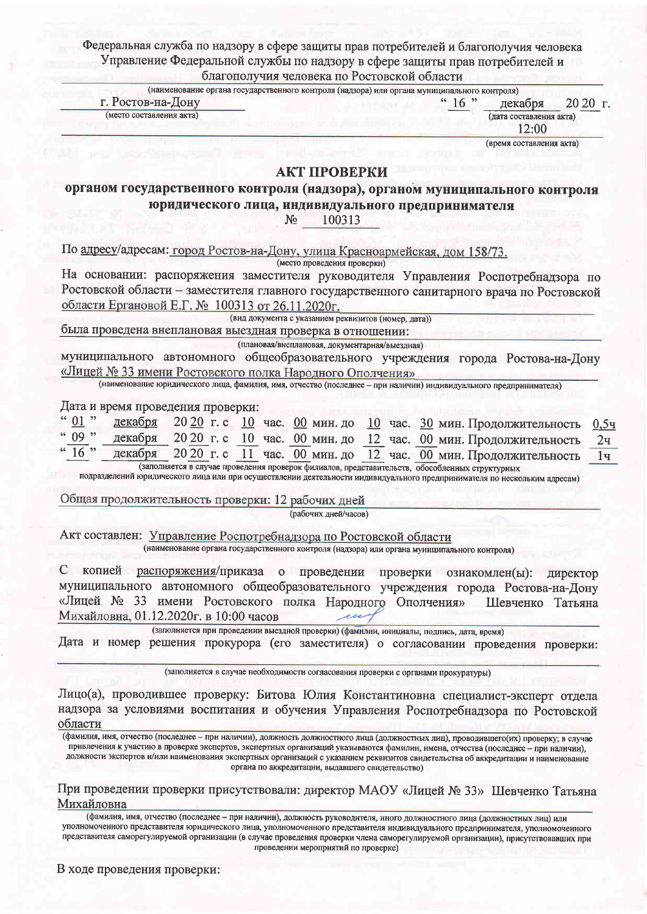Depensitive current in warmany potential property was compositive and y frances www.

| Управление Федеральной службы по надзору в сфере защиты прав потребителей и                                                                 |                                  |
|---------------------------------------------------------------------------------------------------------------------------------------------|----------------------------------|
| благополучия человека по Ростовской области<br>(наименование органа государственного контроля (надзора) или органа муниципального контроля) |                                  |
| г. Ростов-на-Дону<br>" 16 "                                                                                                                 | 20 20 г.<br>декабря              |
| (место составления акта)                                                                                                                    | (дата составления акта)<br>12:00 |
|                                                                                                                                             | (время составления акта)         |
| АКТ ПРОВЕРКИ                                                                                                                                |                                  |
| органом государственного контроля (надзора), органом муниципального контроля                                                                |                                  |
|                                                                                                                                             |                                  |
| юридического лица, индивидуального предпринимателя                                                                                          |                                  |
| 100313<br>$N_2$                                                                                                                             |                                  |
| По адресу/адресам: город Ростов-на-Дону, улица Красноармейская, дом 158/73.                                                                 |                                  |
| (место проведения проверки)                                                                                                                 |                                  |
| На основании: распоряжения заместителя руководителя Управления Роспотребнадзора по                                                          |                                  |
| Ростовской области - заместителя главного государственного санитарного врача по Ростовской                                                  |                                  |
| области Ергановой Е.Г. № 100313 от 26.11.2020г.                                                                                             |                                  |
| (вид документа с указанием реквизитов (номер, дата))                                                                                        |                                  |
| была проведена внеплановая выездная проверка в отношении:                                                                                   |                                  |
| (плановая/внеплановая, документарная/выездная)                                                                                              |                                  |
| муниципального автономного общеобразовательного учреждения города Ростова-на-Дону                                                           |                                  |
| «Лицей № 33 имени Ростовского полка Народного Ополчения»                                                                                    |                                  |
| (наименование юридического лица, фамилия, имя, отчество (последнее - при наличии) индивидуального предпринимателя)                          |                                  |
| Дата и время проведения проверки:                                                                                                           |                                  |
| 01<br>декабря<br>20 20 г. с 10 час. 00 мин. до 10 час. 30 мин. Продолжительность                                                            | 0,54                             |
| 09"<br>20 20 г. с 10 час. 00 мин. до 12 час. 00 мин. Продолжительность<br>декабря                                                           | 2 <sub>4</sub>                   |
| $16$ "<br>20 20 г. с<br>декабря<br>11 час. 00 мин. до 12 час. 00 мин. Продолжительность                                                     | 1 <sub>4</sub>                   |
| (заполняется в случае проведения проверок филиалов, представительств, обособленных структурных                                              |                                  |
| подразделений юридического лица или при осуществлении деятельности индивидуального предпринимателя по нескольким адресам)                   |                                  |
| Общая продолжительность проверки: 12 рабочих дней                                                                                           |                                  |
| (рабочих дней/часов)                                                                                                                        |                                  |
|                                                                                                                                             |                                  |
| Акт составлен: Управление Роспотребнадзора по Ростовской области                                                                            |                                  |
| (наименование органа государственного контроля (надзора) или органа муниципального контроля)                                                |                                  |
| С копией<br>распоряжения/приказа о проведении<br>проверки                                                                                   | ознакомлен(ы):<br>директор       |
| муниципального автономного общеобразовательного учреждения города Ростова-на-Дону                                                           |                                  |
| «Лицей № 33 имени Ростовского полка Народного Ополчения»                                                                                    | Шевченко<br>Татьяна              |
| Михайловна, 01.12.2020г. в 10:00 часов                                                                                                      |                                  |

(заполняется при проведении выездной проверки) (фамилии, инициалы, подпись, дата, время) Дата и номер решения прокурора (его заместителя) о согласовании проведения проверки:

(заполняется в случае необходимости согласования проверки с органами прокуратуры)

Лицо(а), проводившее проверку: Битова Юлия Константиновна специалист-эксперт отдела надзора за условиями воспитания и обучения Управления Роспотребнадзора по Ростовской области

(фамилия, имя, отчество (последнее - при наличии), должность должностного лица (должностных лиц), проводившего(их) проверку; в случае привлечения к участию в проверке экспертов, экспертных организаций указываются фамилии, имена, отчества (последнее - при наличии), должности экспертов и/или наименования экспертных организаций с указанием реквизитов свидетельства об аккредитации и наименование органа по аккредитации, выдавшего свидетельство)

При проведении проверки присутствовали: директор МАОУ «Лицей № 33» Шевченко Татьяна Михайловна

(фамилия, имя, отчество (последнее - при наличии), должность руководителя, иного должностного лица (должностных лиц) или уполномоченного представителя юридического лица, уполномоченного представителя индивидуального предпринимателя, уполномоченного представителя саморегулируемой организации (в случае проведения проверки члена саморегулируемой организации), присутствовавших при проведении мероприятий по проверке)